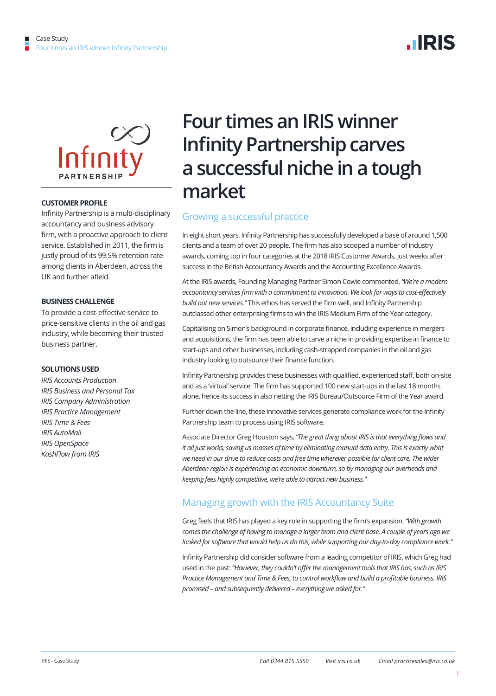



#### **CUSTOMER PROFILE**

Infinity Partnership is a multi-disciplinary accountancy and business advisory firm, with a proactive approach to client service. Established in 2011, the firm is justly proud of its 99.5% retention rate among clients in Aberdeen, across the UK and further afield.

#### **BUSINESS CHALLENGE**

To provide a cost-effective service to price-sensitive clients in the oil and gas industry, while becoming their trusted business partner.

#### **SOLUTIONS USED**

*IRIS Accounts Production IRIS Business and Personal Tax IRIS Company Administration IRIS Practice Management IRIS Time & Fees IRIS AutoMail IRIS OpenSpace KashFlow from IRIS* 

# **Four times an IRIS winner Infinity Partnership carves a successful niche in a tough market**

## Growing a successful practice

In eight short years, Infinity Partnership has successfully developed a base of around 1,500 clients and a team of over 20 people. The firm has also scooped a number of industry awards, coming top in four categories at the 2018 IRIS Customer Awards, just weeks after success in the British Accountancy Awards and the Accounting Excellence Awards.

At the IRIS awards, Founding Managing Partner Simon Cowie commented, *"We're a modern accountancy services firm with a commitment to innovation. We look for ways to cost-effectively build out new services."* This ethos has served the firm well, and Infinity Partnership outclassed other enterprising firms to win the IRIS Medium Firm of the Year category.

Capitalising on Simon's background in corporate finance, including experience in mergers and acquisitions, the firm has been able to carve a niche in providing expertise in finance to start-ups and other businesses, including cash-strapped companies in the oil and gas industry looking to outsource their finance function.

Infinity Partnership provides these businesses with qualified, experienced staff, both on-site and as a 'virtual' service. The firm has supported 100 new start-ups in the last 18 months alone, hence its success in also netting the IRIS Bureau/Outsource Firm of the Year award.

Further down the line, these innovative services generate compliance work for the Infinity Partnership team to process using IRIS software.

Associate Director Greg Houston says, *"The great thing about IRIS is that everything flows and it all just works, saving us masses of time by eliminating manual data entry. This is exactly what we need in our drive to reduce costs and free time wherever possible for client care. The wider Aberdeen region is experiencing an economic downturn, so by managing our overheads and keeping fees highly competitive, we're able to attract new business."* 

## Managing growth with the IRIS Accountancy Suite

Greg feels that IRIS has played a key role in supporting the firm's expansion. *"With growth comes the challenge of having to manage a larger team and client base. A couple of years ago we looked for software that would help us do this, while supporting our day-to-day compliance work."* 

Infinity Partnership did consider software from a leading competitor of IRIS, which Greg had used in the past: *"However, they couldn't offer the management tools that IRIS has, such as IRIS Practice Management and Time & Fees, to control workflow and build a profitable business. IRIS promised – and subsequently delivered – everything we asked for."*